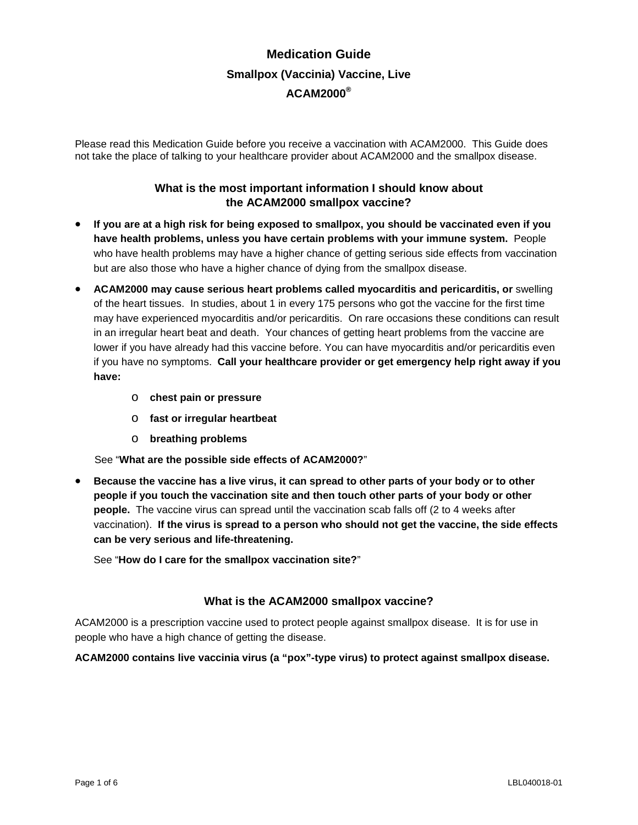# **Medication Guide Smallpox (Vaccinia) Vaccine, Live ACAM2000®**

Please read this Medication Guide before you receive a vaccination with ACAM2000. This Guide does not take the place of talking to your healthcare provider about ACAM2000 and the smallpox disease.

# **What is the most important information I should know about the ACAM2000 smallpox vaccine?**

- **If you are at a high risk for being exposed to smallpox, you should be vaccinated even if you have health problems, unless you have certain problems with your immune system.** People who have health problems may have a higher chance of getting serious side effects from vaccination but are also those who have a higher chance of dying from the smallpox disease.
- **ACAM2000 may cause serious heart problems called myocarditis and pericarditis, or** swelling of the heart tissues. In studies, about 1 in every 175 persons who got the vaccine for the first time may have experienced myocarditis and/or pericarditis. On rare occasions these conditions can result in an irregular heart beat and death. Your chances of getting heart problems from the vaccine are lower if you have already had this vaccine before. You can have myocarditis and/or pericarditis even if you have no symptoms. **Call your healthcare provider or get emergency help right away if you have:**
	- o **chest pain or pressure**
	- o **fast or irregular heartbeat**
	- o **breathing problems**

See "**What are the possible side effects of ACAM2000?**"

• **Because the vaccine has a live virus, it can spread to other parts of your body or to other people if you touch the vaccination site and then touch other parts of your body or other people.** The vaccine virus can spread until the vaccination scab falls off (2 to 4 weeks after vaccination). **If the virus is spread to a person who should not get the vaccine, the side effects can be very serious and life-threatening.**

See "**How do I care for the smallpox vaccination site?**"

# **What is the ACAM2000 smallpox vaccine?**

ACAM2000 is a prescription vaccine used to protect people against smallpox disease. It is for use in people who have a high chance of getting the disease.

#### **ACAM2000 contains live vaccinia virus (a "pox"-type virus) to protect against smallpox disease.**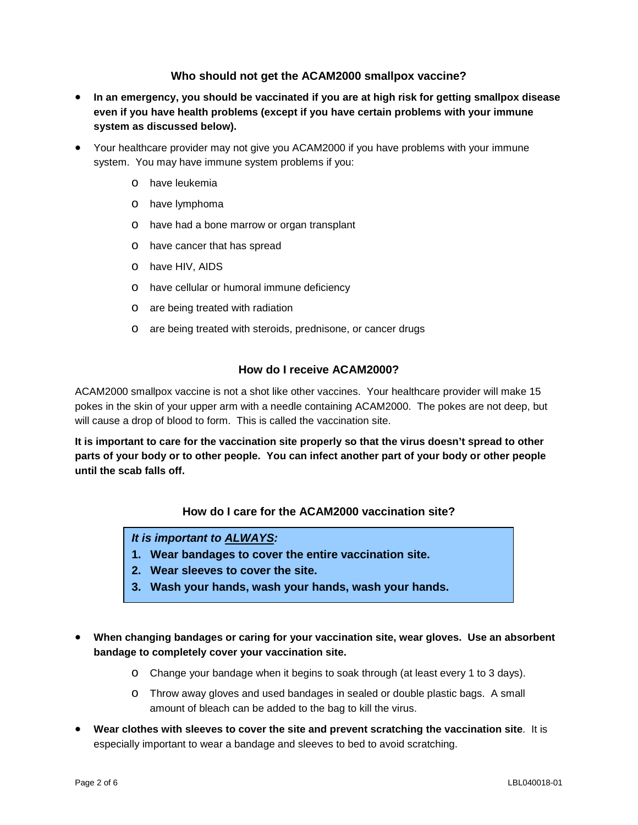## **Who should not get the ACAM2000 smallpox vaccine?**

- **In an emergency, you should be vaccinated if you are at high risk for getting smallpox disease even if you have health problems (except if you have certain problems with your immune system as discussed below).**
- Your healthcare provider may not give you ACAM2000 if you have problems with your immune system. You may have immune system problems if you:
	- o have leukemia
	- o have lymphoma
	- o have had a bone marrow or organ transplant
	- o have cancer that has spread
	- o have HIV, AIDS
	- o have cellular or humoral immune deficiency
	- o are being treated with radiation
	- o are being treated with steroids, prednisone, or cancer drugs

#### **How do I receive ACAM2000?**

ACAM2000 smallpox vaccine is not a shot like other vaccines. Your healthcare provider will make 15 pokes in the skin of your upper arm with a needle containing ACAM2000. The pokes are not deep, but will cause a drop of blood to form. This is called the vaccination site.

**It is important to care for the vaccination site properly so that the virus doesn't spread to other parts of your body or to other people. You can infect another part of your body or other people until the scab falls off.**

## **How do I care for the ACAM2000 vaccination site?**

### *It is important to ALWAYS:*

- **1. Wear bandages to cover the entire vaccination site.**
- **2. Wear sleeves to cover the site.**
- **3. Wash your hands, wash your hands, wash your hands.**
- **When changing bandages or caring for your vaccination site, wear gloves. Use an absorbent bandage to completely cover your vaccination site.**
	- o Change your bandage when it begins to soak through (at least every 1 to 3 days).
	- o Throw away gloves and used bandages in sealed or double plastic bags. A small amount of bleach can be added to the bag to kill the virus.
- **Wear clothes with sleeves to cover the site and prevent scratching the vaccination site**. It is especially important to wear a bandage and sleeves to bed to avoid scratching.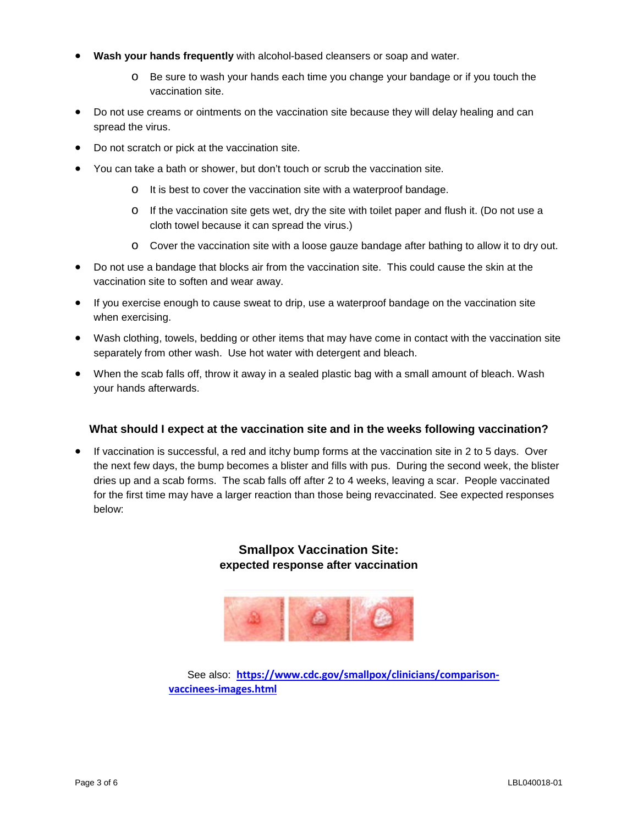- **Wash your hands frequently** with alcohol-based cleansers or soap and water.
	- o Be sure to wash your hands each time you change your bandage or if you touch the vaccination site.
- Do not use creams or ointments on the vaccination site because they will delay healing and can spread the virus.
- Do not scratch or pick at the vaccination site.
- You can take a bath or shower, but don't touch or scrub the vaccination site.
	- o It is best to cover the vaccination site with a waterproof bandage.
	- o If the vaccination site gets wet, dry the site with toilet paper and flush it. (Do not use a cloth towel because it can spread the virus.)
	- o Cover the vaccination site with a loose gauze bandage after bathing to allow it to dry out.
- Do not use a bandage that blocks air from the vaccination site. This could cause the skin at the vaccination site to soften and wear away.
- If you exercise enough to cause sweat to drip, use a waterproof bandage on the vaccination site when exercising.
- Wash clothing, towels, bedding or other items that may have come in contact with the vaccination site separately from other wash. Use hot water with detergent and bleach.
- When the scab falls off, throw it away in a sealed plastic bag with a small amount of bleach. Wash your hands afterwards.

#### **What should I expect at the vaccination site and in the weeks following vaccination?**

• If vaccination is successful, a red and itchy bump forms at the vaccination site in 2 to 5 days. Over the next few days, the bump becomes a blister and fills with pus. During the second week, the blister dries up and a scab forms. The scab falls off after 2 to 4 weeks, leaving a scar. People vaccinated for the first time may have a larger reaction than those being revaccinated. See expected responses below:

# **Smallpox Vaccination Site: expected response after vaccination**



See also: [https://www.cdc.gov/smallpox/clinicians/comparison](https://www.cdc.gov/smallpox/clinicians/comparison-vaccinees-images.html)**[vaccinees-images.html](https://www.cdc.gov/smallpox/clinicians/comparison-vaccinees-images.html)**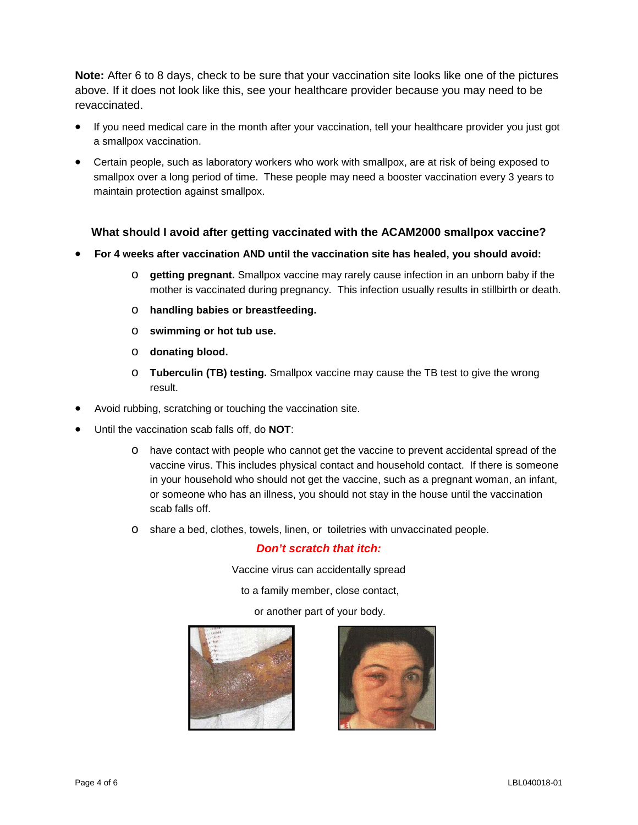**Note:** After 6 to 8 days, check to be sure that your vaccination site looks like one of the pictures above. If it does not look like this, see your healthcare provider because you may need to be revaccinated.

- If you need medical care in the month after your vaccination, tell your healthcare provider you just got a smallpox vaccination.
- Certain people, such as laboratory workers who work with smallpox, are at risk of being exposed to smallpox over a long period of time. These people may need a booster vaccination every 3 years to maintain protection against smallpox.

## **What should I avoid after getting vaccinated with the ACAM2000 smallpox vaccine?**

- **For 4 weeks after vaccination AND until the vaccination site has healed, you should avoid:**
	- o **getting pregnant.** Smallpox vaccine may rarely cause infection in an unborn baby if the mother is vaccinated during pregnancy. This infection usually results in stillbirth or death.
	- o **handling babies or breastfeeding.**
	- o **swimming or hot tub use.**
	- o **donating blood.**
	- o **Tuberculin (TB) testing.** Smallpox vaccine may cause the TB test to give the wrong result.
- Avoid rubbing, scratching or touching the vaccination site.
- Until the vaccination scab falls off, do **NOT**:
	- o have contact with people who cannot get the vaccine to prevent accidental spread of the vaccine virus. This includes physical contact and household contact. If there is someone in your household who should not get the vaccine, such as a pregnant woman, an infant, or someone who has an illness, you should not stay in the house until the vaccination scab falls off.
	- o share a bed, clothes, towels, linen, or toiletries with unvaccinated people.

#### *Don't scratch that itch:*

Vaccine virus can accidentally spread

to a family member, close contact,

or another part of your body.



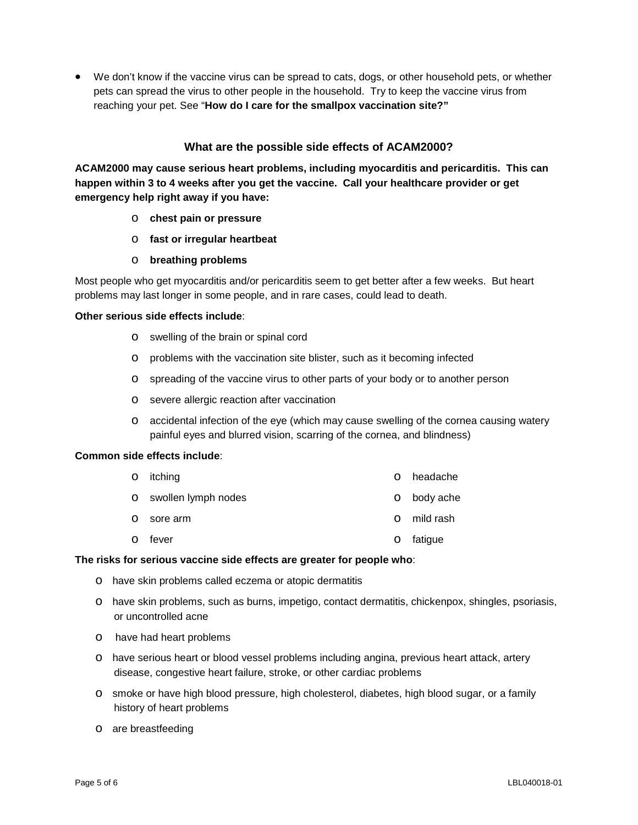• We don't know if the vaccine virus can be spread to cats, dogs, or other household pets, or whether pets can spread the virus to other people in the household. Try to keep the vaccine virus from reaching your pet. See "**How do I care for the smallpox vaccination site?"**

#### **What are the possible side effects of ACAM2000?**

**ACAM2000 may cause serious heart problems, including myocarditis and pericarditis. This can happen within 3 to 4 weeks after you get the vaccine. Call your healthcare provider or get emergency help right away if you have:**

- o **chest pain or pressure**
- o **fast or irregular heartbeat**
- o **breathing problems**

Most people who get myocarditis and/or pericarditis seem to get better after a few weeks. But heart problems may last longer in some people, and in rare cases, could lead to death.

#### **Other serious side effects include**:

- o swelling of the brain or spinal cord
- o problems with the vaccination site blister, such as it becoming infected
- o spreading of the vaccine virus to other parts of your body or to another person
- o severe allergic reaction after vaccination
- o accidental infection of the eye (which may cause swelling of the cornea causing watery painful eyes and blurred vision, scarring of the cornea, and blindness)

#### **Common side effects include**:

|         | o itching             |          | o headache  |
|---------|-----------------------|----------|-------------|
|         | o swollen lymph nodes |          | o body ache |
| $\circ$ | sore arm              | $\Omega$ | mild rash   |
| $\circ$ | fever                 | $\circ$  | fatigue     |

#### **The risks for serious vaccine side effects are greater for people who**:

- o have skin problems called eczema or atopic dermatitis
- o have skin problems, such as burns, impetigo, contact dermatitis, chickenpox, shingles, psoriasis, or uncontrolled acne
- o have had heart problems
- o have serious heart or blood vessel problems including angina, previous heart attack, artery disease, congestive heart failure, stroke, or other cardiac problems
- o smoke or have high blood pressure, high cholesterol, diabetes, high blood sugar, or a family history of heart problems
- o are breastfeeding